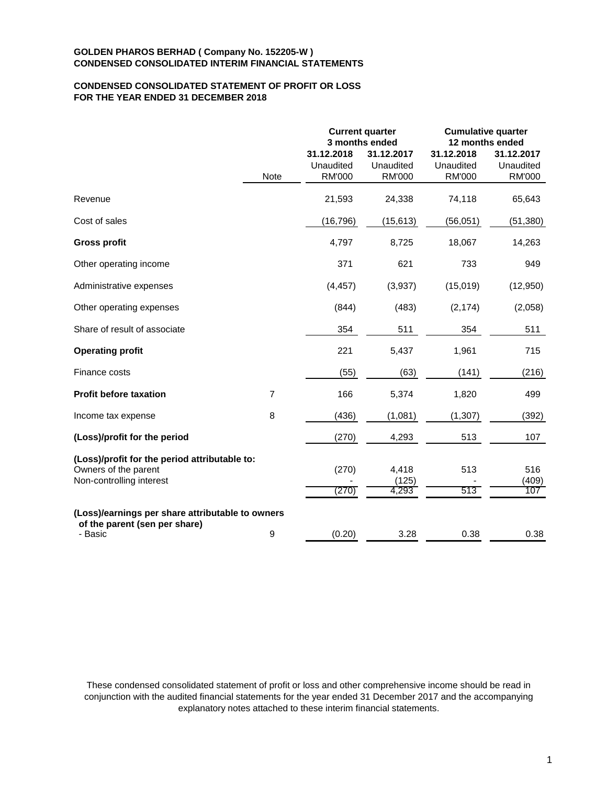# **CONDENSED CONSOLIDATED STATEMENT OF PROFIT OR LOSS FOR THE YEAR ENDED 31 DECEMBER 2018**

|                                                                                                   |                |                                          | <b>Current quarter</b><br>3 months ended | <b>Cumulative quarter</b><br>12 months ended |                                          |  |
|---------------------------------------------------------------------------------------------------|----------------|------------------------------------------|------------------------------------------|----------------------------------------------|------------------------------------------|--|
|                                                                                                   | Note           | 31.12.2018<br>Unaudited<br><b>RM'000</b> | 31.12.2017<br>Unaudited<br><b>RM'000</b> | 31.12.2018<br>Unaudited<br><b>RM'000</b>     | 31.12.2017<br>Unaudited<br><b>RM'000</b> |  |
| Revenue                                                                                           |                | 21,593                                   | 24,338                                   | 74,118                                       | 65,643                                   |  |
| Cost of sales                                                                                     |                | (16, 796)                                | (15, 613)                                | (56, 051)                                    | (51, 380)                                |  |
| <b>Gross profit</b>                                                                               |                | 4,797                                    | 8,725                                    | 18,067                                       | 14,263                                   |  |
| Other operating income                                                                            |                | 371                                      | 621                                      | 733                                          | 949                                      |  |
| Administrative expenses                                                                           |                | (4, 457)                                 | (3,937)                                  | (15,019)                                     | (12, 950)                                |  |
| Other operating expenses                                                                          |                | (844)                                    | (483)                                    | (2, 174)                                     | (2,058)                                  |  |
| Share of result of associate                                                                      |                | 354                                      | 511                                      | 354                                          | 511                                      |  |
| <b>Operating profit</b>                                                                           |                | 221                                      | 5,437                                    | 1,961                                        | 715                                      |  |
| Finance costs                                                                                     |                | (55)                                     | (63)                                     | (141)                                        | (216)                                    |  |
| <b>Profit before taxation</b>                                                                     | $\overline{7}$ | 166                                      | 5,374                                    | 1,820                                        | 499                                      |  |
| Income tax expense                                                                                | 8              | (436)                                    | (1,081)                                  | (1, 307)                                     | (392)                                    |  |
| (Loss)/profit for the period                                                                      |                | (270)                                    | 4,293                                    | 513                                          | 107                                      |  |
| (Loss)/profit for the period attributable to:<br>Owners of the parent<br>Non-controlling interest |                | (270)<br>(270)                           | 4,418<br>(125)<br>4,293                  | 513<br>513                                   | 516<br>(409)<br>107                      |  |
| (Loss)/earnings per share attributable to owners<br>of the parent (sen per share)<br>- Basic      | 9              | (0.20)                                   | 3.28                                     | 0.38                                         | 0.38                                     |  |

These condensed consolidated statement of profit or loss and other comprehensive income should be read in conjunction with the audited financial statements for the year ended 31 December 2017 and the accompanying explanatory notes attached to these interim financial statements.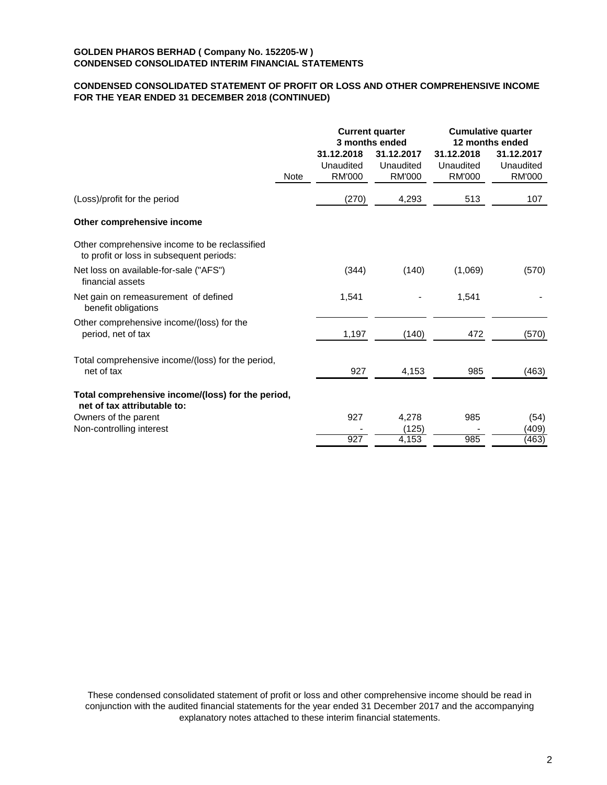# **CONDENSED CONSOLIDATED STATEMENT OF PROFIT OR LOSS AND OTHER COMPREHENSIVE INCOME FOR THE YEAR ENDED 31 DECEMBER 2018 (CONTINUED)**

|                                                                                           |      |                                          | <b>Current quarter</b><br>3 months ended | <b>Cumulative quarter</b><br>12 months ended |                                          |  |
|-------------------------------------------------------------------------------------------|------|------------------------------------------|------------------------------------------|----------------------------------------------|------------------------------------------|--|
|                                                                                           | Note | 31.12.2018<br>Unaudited<br><b>RM'000</b> | 31.12.2017<br>Unaudited<br><b>RM'000</b> | 31.12.2018<br>Unaudited<br><b>RM'000</b>     | 31.12.2017<br>Unaudited<br><b>RM'000</b> |  |
| (Loss)/profit for the period                                                              |      | (270)                                    | 4,293                                    | 513                                          | 107                                      |  |
| Other comprehensive income                                                                |      |                                          |                                          |                                              |                                          |  |
| Other comprehensive income to be reclassified<br>to profit or loss in subsequent periods: |      |                                          |                                          |                                              |                                          |  |
| Net loss on available-for-sale ("AFS")<br>financial assets                                |      | (344)                                    | (140)                                    | (1,069)                                      | (570)                                    |  |
| Net gain on remeasurement of defined<br>benefit obligations                               |      | 1,541                                    |                                          | 1,541                                        |                                          |  |
| Other comprehensive income/(loss) for the<br>period, net of tax                           |      | 1,197                                    | (140)                                    | 472                                          | (570)                                    |  |
| Total comprehensive income/(loss) for the period,<br>net of tax                           |      | 927                                      | 4,153                                    | 985                                          | (463)                                    |  |
| Total comprehensive income/(loss) for the period,<br>net of tax attributable to:          |      |                                          |                                          |                                              |                                          |  |
| Owners of the parent                                                                      |      | 927                                      | 4,278                                    | 985                                          | (54)                                     |  |
| Non-controlling interest                                                                  |      |                                          | (125)                                    |                                              | (409)                                    |  |
|                                                                                           |      | 927                                      | 4,153                                    | 985                                          | (463)                                    |  |

These condensed consolidated statement of profit or loss and other comprehensive income should be read in conjunction with the audited financial statements for the year ended 31 December 2017 and the accompanying explanatory notes attached to these interim financial statements.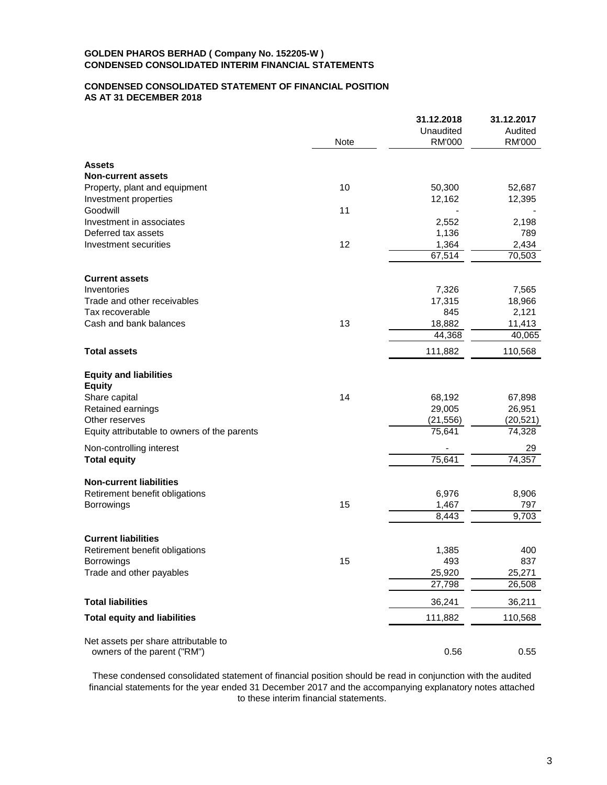# **CONDENSED CONSOLIDATED STATEMENT OF FINANCIAL POSITION AS AT 31 DECEMBER 2018**

|                                                |      | 31.12.2018     | 31.12.2017 |
|------------------------------------------------|------|----------------|------------|
|                                                |      | Unaudited      | Audited    |
|                                                | Note | <b>RM'000</b>  | RM'000     |
| <b>Assets</b>                                  |      |                |            |
| <b>Non-current assets</b>                      |      |                |            |
| Property, plant and equipment                  | 10   | 50,300         | 52,687     |
| Investment properties                          |      | 12,162         | 12,395     |
| Goodwill                                       | 11   |                |            |
| Investment in associates                       |      | 2,552          | 2,198      |
| Deferred tax assets                            |      | 1,136          | 789        |
| Investment securities                          | 12   | 1,364          | 2,434      |
|                                                |      | 67,514         | 70,503     |
| <b>Current assets</b>                          |      |                |            |
| Inventories                                    |      | 7,326          | 7,565      |
| Trade and other receivables                    |      | 17,315         | 18,966     |
| Tax recoverable                                |      | 845            | 2,121      |
| Cash and bank balances                         | 13   | 18,882         | 11,413     |
|                                                |      | 44,368         | 40,065     |
| <b>Total assets</b>                            |      | 111,882        | 110,568    |
|                                                |      |                |            |
| <b>Equity and liabilities</b><br><b>Equity</b> |      |                |            |
| Share capital                                  | 14   | 68,192         | 67,898     |
| Retained earnings                              |      | 29,005         | 26,951     |
| Other reserves                                 |      | (21, 556)      | (20, 521)  |
| Equity attributable to owners of the parents   |      | 75,641         | 74,328     |
| Non-controlling interest                       |      |                | 29         |
| <b>Total equity</b>                            |      | 75,641         | 74,357     |
| <b>Non-current liabilities</b>                 |      |                |            |
| Retirement benefit obligations                 |      | 6,976          | 8,906      |
| <b>Borrowings</b>                              | 15   | 1,467          | 797        |
|                                                |      | $\sqrt{8,}443$ | 9,703      |
| <b>Current liabilities</b>                     |      |                |            |
| Retirement benefit obligations                 |      | 1,385          | 400        |
| <b>Borrowings</b>                              | 15   | 493            | 837        |
| Trade and other payables                       |      | 25,920         | 25,271     |
|                                                |      | 27,798         | 26,508     |
| <b>Total liabilities</b>                       |      | 36,241         | 36,211     |
| <b>Total equity and liabilities</b>            |      | 111,882        | 110,568    |
| Net assets per share attributable to           |      |                |            |
| owners of the parent ("RM")                    |      | 0.56           | 0.55       |
|                                                |      |                |            |

These condensed consolidated statement of financial position should be read in conjunction with the audited financial statements for the year ended 31 December 2017 and the accompanying explanatory notes attached to these interim financial statements.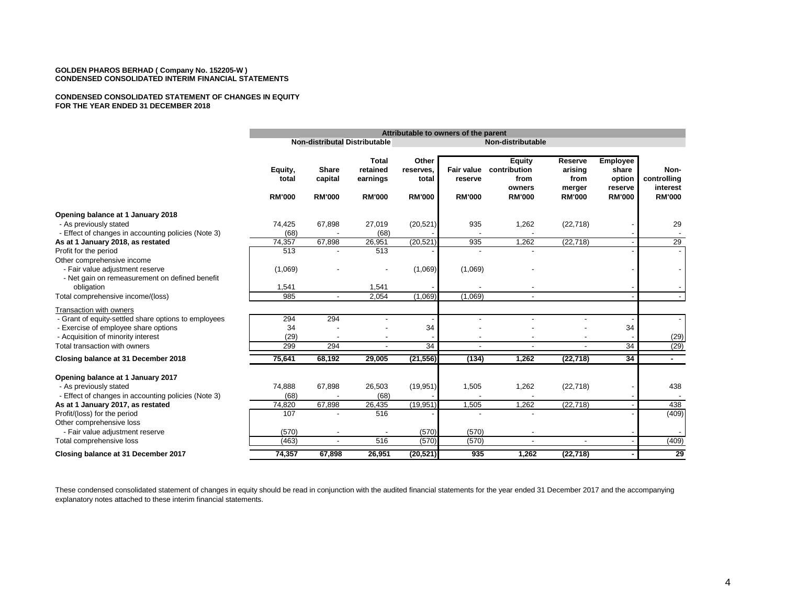#### **CONDENSED CONSOLIDATED STATEMENT OF CHANGES IN EQUITY FOR THE YEAR ENDED 31 DECEMBER 2018**

|                                                             | Attributable to owners of the parent |                                                    |                                      |                             |                       |                                                 |                                      |                                               |                                 |
|-------------------------------------------------------------|--------------------------------------|----------------------------------------------------|--------------------------------------|-----------------------------|-----------------------|-------------------------------------------------|--------------------------------------|-----------------------------------------------|---------------------------------|
|                                                             |                                      | Non-distributal Distributable<br>Non-distributable |                                      |                             |                       |                                                 |                                      |                                               |                                 |
|                                                             | Equity,<br>total                     | <b>Share</b><br>capital                            | <b>Total</b><br>retained<br>earnings | Other<br>reserves,<br>total | Fair value<br>reserve | <b>Equity</b><br>contribution<br>from<br>owners | Reserve<br>arising<br>from<br>merger | <b>Employee</b><br>share<br>option<br>reserve | Non-<br>controlling<br>interest |
|                                                             | <b>RM'000</b>                        | <b>RM'000</b>                                      | <b>RM'000</b>                        | <b>RM'000</b>               | <b>RM'000</b>         | <b>RM'000</b>                                   | <b>RM'000</b>                        | <b>RM'000</b>                                 | <b>RM'000</b>                   |
| Opening balance at 1 January 2018                           |                                      |                                                    |                                      |                             |                       |                                                 |                                      |                                               |                                 |
| - As previously stated                                      | 74,425                               | 67,898                                             | 27,019                               | (20, 521)                   | 935                   | 1,262                                           | (22, 718)                            |                                               | 29                              |
| - Effect of changes in accounting policies (Note 3)         | (68)                                 |                                                    | (68)                                 |                             |                       |                                                 |                                      |                                               |                                 |
| As at 1 January 2018, as restated                           | 74,357                               | 67,898                                             | 26,951                               | (20, 521)                   | 935                   | 1,262                                           | (22, 718)                            |                                               | 29                              |
| Profit for the period                                       | 513                                  |                                                    | 513                                  |                             |                       |                                                 |                                      |                                               |                                 |
| Other comprehensive income                                  |                                      |                                                    |                                      |                             |                       |                                                 |                                      |                                               |                                 |
| - Fair value adjustment reserve                             | (1,069)                              |                                                    |                                      | (1,069)                     | (1,069)               |                                                 |                                      |                                               |                                 |
| - Net gain on remeasurement on defined benefit              |                                      |                                                    |                                      |                             |                       |                                                 |                                      |                                               |                                 |
| obligation                                                  | 1,541                                |                                                    | 1,541                                |                             |                       |                                                 |                                      |                                               |                                 |
| Total comprehensive income/(loss)                           | 985                                  |                                                    | 2,054                                | (1,069)                     | (1,069)               |                                                 |                                      |                                               |                                 |
| Transaction with owners                                     |                                      |                                                    |                                      |                             |                       |                                                 |                                      |                                               |                                 |
| - Grant of equity-settled share options to employees        | 294                                  | 294                                                |                                      |                             |                       |                                                 |                                      |                                               | $\overline{\phantom{a}}$        |
| - Exercise of employee share options                        | 34                                   |                                                    |                                      | 34                          |                       |                                                 |                                      | 34                                            |                                 |
| - Acquisition of minority interest                          | (29)                                 |                                                    |                                      |                             |                       |                                                 |                                      |                                               | (29)                            |
| Total transaction with owners                               | 299                                  | 294                                                |                                      | $\overline{34}$             |                       |                                                 |                                      | 34                                            | (29)                            |
| Closing balance at 31 December 2018                         | 75,641                               | 68,192                                             | 29,005                               | (21, 556)                   | (134)                 | 1,262                                           | (22, 718)                            | 34                                            | $\blacksquare$                  |
|                                                             |                                      |                                                    |                                      |                             |                       |                                                 |                                      |                                               |                                 |
| Opening balance at 1 January 2017<br>- As previously stated | 74,888                               | 67,898                                             | 26,503                               | (19, 951)                   | 1,505                 | 1,262                                           | (22, 718)                            |                                               | 438                             |
| - Effect of changes in accounting policies (Note 3)         | (68)                                 |                                                    | (68)                                 |                             |                       |                                                 |                                      |                                               |                                 |
| As at 1 January 2017, as restated                           | 74,820                               | 67,898                                             | 26,435                               | (19, 951)                   | 1,505                 | 1,262                                           | (22, 718)                            |                                               | 438                             |
| Profit/(loss) for the period                                | 107                                  |                                                    | 516                                  |                             |                       |                                                 |                                      |                                               | (409)                           |
| Other comprehensive loss                                    |                                      |                                                    |                                      |                             |                       |                                                 |                                      |                                               |                                 |
| - Fair value adjustment reserve                             | (570)                                |                                                    |                                      | (570)                       | (570)                 |                                                 |                                      |                                               |                                 |
| Total comprehensive loss                                    | (463)                                |                                                    | 516                                  | (570)                       | (570)                 | $\overline{a}$                                  |                                      |                                               | (409)                           |
| Closing balance at 31 December 2017                         | 74,357                               | 67,898                                             | 26,951                               | (20, 521)                   | 935                   | 1,262                                           | (22, 718)                            |                                               | 29                              |

These condensed consolidated statement of changes in equity should be read in conjunction with the audited financial statements for the year ended 31 December 2017 and the accompanying explanatory notes attached to these interim financial statements.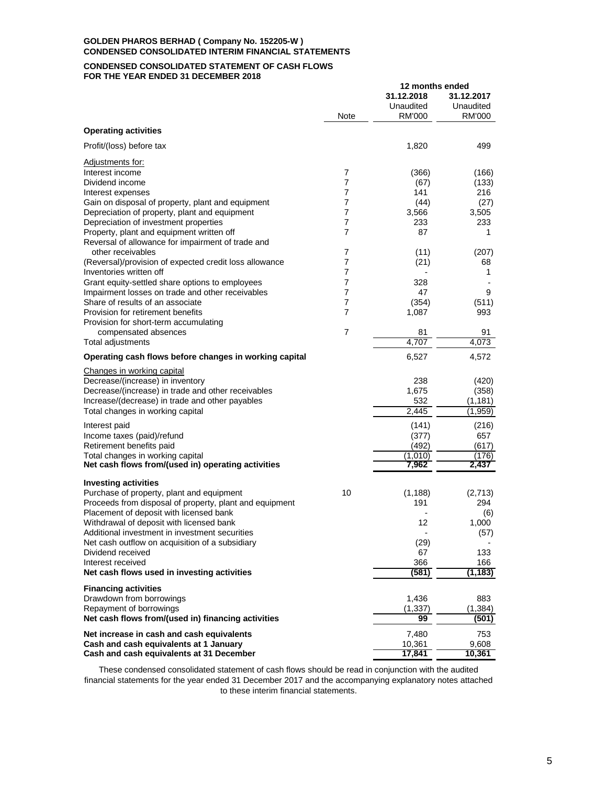#### **CONDENSED CONSOLIDATED STATEMENT OF CASH FLOWS FOR THE YEAR ENDED 31 DECEMBER 2018**

|                                                                                                       |                |                                   | 12 months ended                   |  |  |
|-------------------------------------------------------------------------------------------------------|----------------|-----------------------------------|-----------------------------------|--|--|
|                                                                                                       | Note           | 31.12.2018<br>Unaudited<br>RM'000 | 31.12.2017<br>Unaudited<br>RM'000 |  |  |
| <b>Operating activities</b>                                                                           |                |                                   |                                   |  |  |
| Profit/(loss) before tax                                                                              |                | 1,820                             | 499                               |  |  |
| Adjustments for:                                                                                      |                |                                   |                                   |  |  |
| Interest income                                                                                       | 7              | (366)                             | (166)                             |  |  |
| Dividend income                                                                                       | $\overline{7}$ | (67)                              | (133)                             |  |  |
| Interest expenses                                                                                     | 7              | 141                               | 216                               |  |  |
| Gain on disposal of property, plant and equipment                                                     | $\overline{7}$ | (44)                              | (27)                              |  |  |
| Depreciation of property, plant and equipment                                                         | 7              | 3,566                             | 3,505                             |  |  |
| Depreciation of investment properties                                                                 | 7              | 233                               | 233                               |  |  |
| Property, plant and equipment written off                                                             | 7              | 87                                | 1                                 |  |  |
| Reversal of allowance for impairment of trade and                                                     |                |                                   |                                   |  |  |
| other receivables                                                                                     | 7              | (11)                              | (207)                             |  |  |
| (Reversal)/provision of expected credit loss allowance                                                | 7              | (21)                              | 68                                |  |  |
| Inventories written off                                                                               | 7              | $\overline{a}$                    | 1                                 |  |  |
| Grant equity-settled share options to employees                                                       | 7              | 328                               |                                   |  |  |
| Impairment losses on trade and other receivables                                                      | 7              | 47                                | 9                                 |  |  |
| Share of results of an associate                                                                      | 7              | (354)                             | (511)                             |  |  |
| Provision for retirement benefits                                                                     | 7              | 1,087                             | 993                               |  |  |
| Provision for short-term accumulating<br>compensated absences                                         | 7              | 81                                | 91                                |  |  |
| Total adjustments                                                                                     |                | 4,707                             | 4,073                             |  |  |
| Operating cash flows before changes in working capital                                                |                | 6,527                             | 4,572                             |  |  |
|                                                                                                       |                |                                   |                                   |  |  |
| Changes in working capital                                                                            |                |                                   |                                   |  |  |
| Decrease/(increase) in inventory                                                                      |                | 238                               | (420)                             |  |  |
| Decrease/(increase) in trade and other receivables<br>Increase/(decrease) in trade and other payables |                | 1,675                             | (358)                             |  |  |
| Total changes in working capital                                                                      |                | 532<br>2,445                      | (1, 181)<br>(1,959)               |  |  |
|                                                                                                       |                |                                   |                                   |  |  |
| Interest paid                                                                                         |                | (141)                             | (216)                             |  |  |
| Income taxes (paid)/refund                                                                            |                | (377)                             | 657                               |  |  |
| Retirement benefits paid                                                                              |                | (492)                             | (617)                             |  |  |
| Total changes in working capital                                                                      |                | (1,010)                           | (176)                             |  |  |
| Net cash flows from/(used in) operating activities                                                    |                | 7.962                             | 2,437                             |  |  |
| <b>Investing activities</b>                                                                           |                |                                   |                                   |  |  |
| Purchase of property, plant and equipment                                                             | 10             | (1, 188)                          | (2,713)                           |  |  |
| Proceeds from disposal of property, plant and equipment                                               |                | 191                               | 294                               |  |  |
| Placement of deposit with licensed bank                                                               |                |                                   | (6)                               |  |  |
| Withdrawal of deposit with licensed bank                                                              |                | 12                                | 1,000                             |  |  |
| Additional investment in investment securities                                                        |                |                                   | (57)                              |  |  |
| Net cash outflow on acquisition of a subsidiary                                                       |                | (29)                              |                                   |  |  |
| Dividend received                                                                                     |                | 67                                | 133                               |  |  |
| Interest received                                                                                     |                | 366                               | 166                               |  |  |
| Net cash flows used in investing activities                                                           |                | (581)                             | (1,183)                           |  |  |
| <b>Financing activities</b>                                                                           |                |                                   |                                   |  |  |
| Drawdown from borrowings                                                                              |                | 1,436                             | 883                               |  |  |
| Repayment of borrowings                                                                               |                | (1, 337)                          | (1, 384)                          |  |  |
| Net cash flows from/(used in) financing activities                                                    |                | 99                                | (501)                             |  |  |
| Net increase in cash and cash equivalents                                                             |                | 7,480                             | 753                               |  |  |
| Cash and cash equivalents at 1 January                                                                |                | 10,361                            | 9,608                             |  |  |
| Cash and cash equivalents at 31 December                                                              |                | 17,841                            | 10,361                            |  |  |

These condensed consolidated statement of cash flows should be read in conjunction with the audited financial statements for the year ended 31 December 2017 and the accompanying explanatory notes attached to these interim financial statements.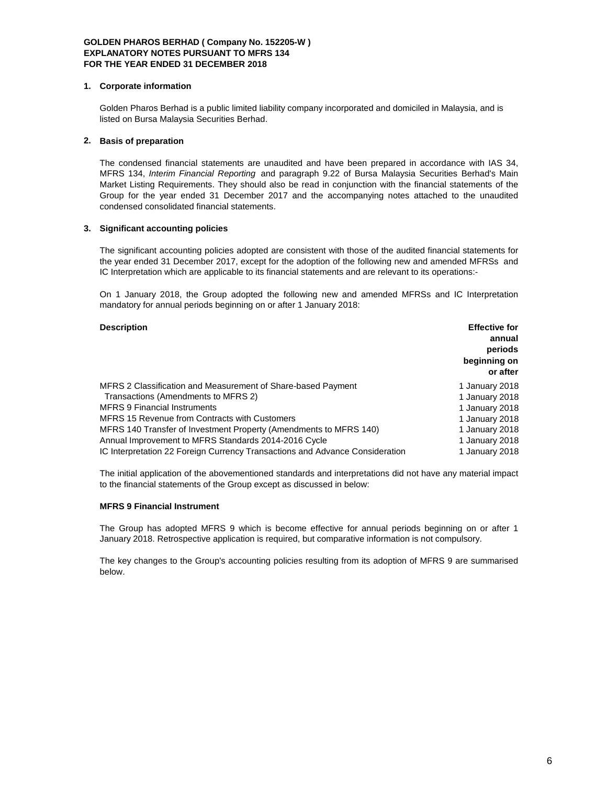## **1. Corporate information**

Golden Pharos Berhad is a public limited liability company incorporated and domiciled in Malaysia, and is listed on Bursa Malaysia Securities Berhad.

## **2. Basis of preparation**

The condensed financial statements are unaudited and have been prepared in accordance with IAS 34, MFRS 134, *Interim Financial Reporting* and paragraph 9.22 of Bursa Malaysia Securities Berhad's Main Market Listing Requirements. They should also be read in conjunction with the financial statements of the Group for the year ended 31 December 2017 and the accompanying notes attached to the unaudited condensed consolidated financial statements.

## **3. Significant accounting policies**

The significant accounting policies adopted are consistent with those of the audited financial statements for the year ended 31 December 2017, except for the adoption of the following new and amended MFRSs and IC Interpretation which are applicable to its financial statements and are relevant to its operations:-

On 1 January 2018, the Group adopted the following new and amended MFRSs and IC Interpretation mandatory for annual periods beginning on or after 1 January 2018:

| <b>Description</b>                                                           | <b>Effective for</b> |
|------------------------------------------------------------------------------|----------------------|
|                                                                              | annual               |
|                                                                              | periods              |
|                                                                              | beginning on         |
|                                                                              | or after             |
| MFRS 2 Classification and Measurement of Share-based Payment                 | 1 January 2018       |
| Transactions (Amendments to MFRS 2)                                          | 1 January 2018       |
| <b>MFRS 9 Financial Instruments</b>                                          | 1 January 2018       |
| <b>MFRS 15 Revenue from Contracts with Customers</b>                         | 1 January 2018       |
| MFRS 140 Transfer of Investment Property (Amendments to MFRS 140)            | 1 January 2018       |
| Annual Improvement to MFRS Standards 2014-2016 Cycle                         | 1 January 2018       |
| IC Interpretation 22 Foreign Currency Transactions and Advance Consideration | 1 January 2018       |

The initial application of the abovementioned standards and interpretations did not have any material impact to the financial statements of the Group except as discussed in below:

## **MFRS 9 Financial Instrument**

The Group has adopted MFRS 9 which is become effective for annual periods beginning on or after 1 January 2018. Retrospective application is required, but comparative information is not compulsory.

The key changes to the Group's accounting policies resulting from its adoption of MFRS 9 are summarised below.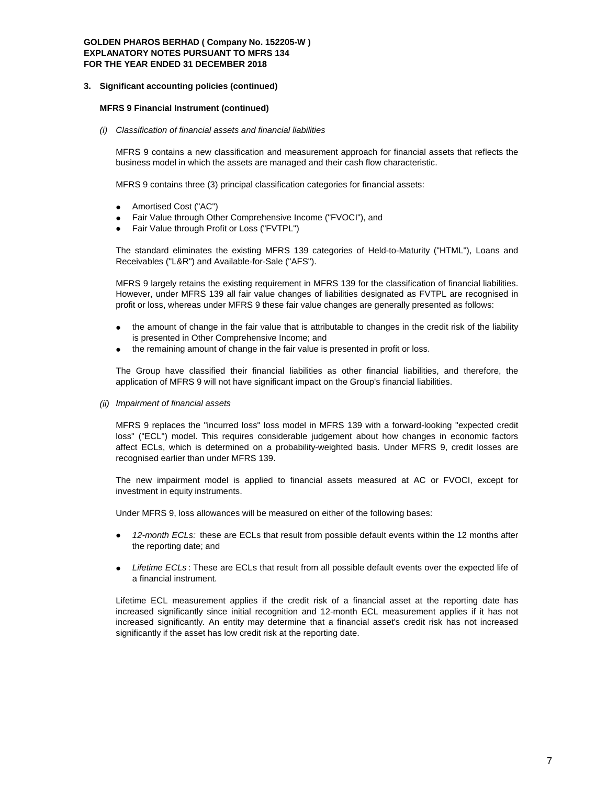#### **3. Significant accounting policies (continued)**

#### **MFRS 9 Financial Instrument (continued)**

*(i) Classification of financial assets and financial liabilities*

MFRS 9 contains a new classification and measurement approach for financial assets that reflects the business model in which the assets are managed and their cash flow characteristic.

MFRS 9 contains three (3) principal classification categories for financial assets:

- Amortised Cost ("AC")
- Fair Value through Other Comprehensive Income ("FVOCI"), and
- Fair Value through Profit or Loss ("FVTPL")

The standard eliminates the existing MFRS 139 categories of Held-to-Maturity ("HTML"), Loans and Receivables ("L&R") and Available-for-Sale ("AFS").

MFRS 9 largely retains the existing requirement in MFRS 139 for the classification of financial liabilities. However, under MFRS 139 all fair value changes of liabilities designated as FVTPL are recognised in profit or loss, whereas under MFRS 9 these fair value changes are generally presented as follows:

- the amount of change in the fair value that is attributable to changes in the credit risk of the liability is presented in Other Comprehensive Income; and
- the remaining amount of change in the fair value is presented in profit or loss.

The Group have classified their financial liabilities as other financial liabilities, and therefore, the application of MFRS 9 will not have significant impact on the Group's financial liabilities.

*(ii) Impairment of financial assets*

MFRS 9 replaces the "incurred loss" loss model in MFRS 139 with a forward-looking "expected credit loss" ("ECL") model. This requires considerable judgement about how changes in economic factors affect ECLs, which is determined on a probability-weighted basis. Under MFRS 9, credit losses are recognised earlier than under MFRS 139.

The new impairment model is applied to financial assets measured at AC or FVOCI, except for investment in equity instruments.

Under MFRS 9, loss allowances will be measured on either of the following bases:

- *12-month ECLs:* these are ECLs that result from possible default events within the 12 months after the reporting date; and
- *Lifetime ECLs* : These are ECLs that result from all possible default events over the expected life of a financial instrument.

Lifetime ECL measurement applies if the credit risk of a financial asset at the reporting date has increased significantly since initial recognition and 12-month ECL measurement applies if it has not increased significantly. An entity may determine that a financial asset's credit risk has not increased significantly if the asset has low credit risk at the reporting date.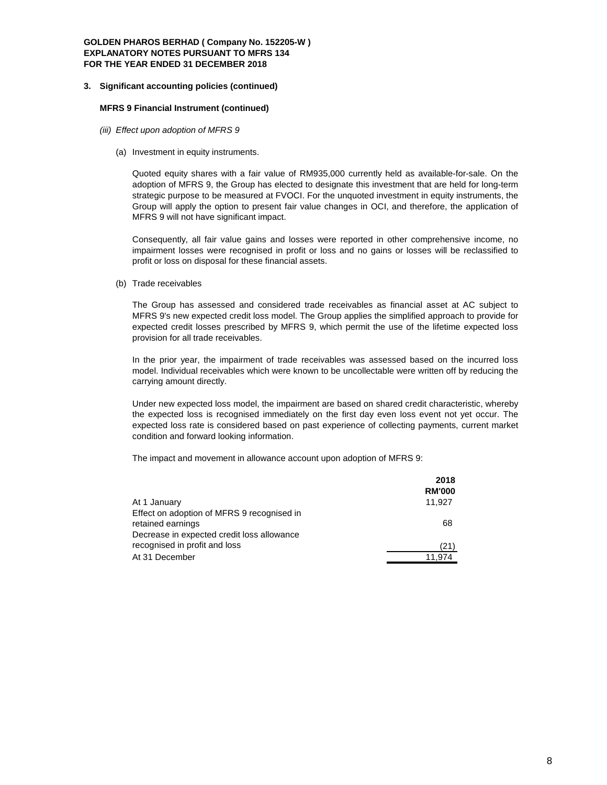#### **3. Significant accounting policies (continued)**

#### **MFRS 9 Financial Instrument (continued)**

- *(iii) Effect upon adoption of MFRS 9*
	- (a) Investment in equity instruments.

Quoted equity shares with a fair value of RM935,000 currently held as available-for-sale. On the adoption of MFRS 9, the Group has elected to designate this investment that are held for long-term strategic purpose to be measured at FVOCI. For the unquoted investment in equity instruments, the Group will apply the option to present fair value changes in OCI, and therefore, the application of MFRS 9 will not have significant impact.

Consequently, all fair value gains and losses were reported in other comprehensive income, no impairment losses were recognised in profit or loss and no gains or losses will be reclassified to profit or loss on disposal for these financial assets.

(b) Trade receivables

The Group has assessed and considered trade receivables as financial asset at AC subject to MFRS 9's new expected credit loss model. The Group applies the simplified approach to provide for expected credit losses prescribed by MFRS 9, which permit the use of the lifetime expected loss provision for all trade receivables.

In the prior year, the impairment of trade receivables was assessed based on the incurred loss model. Individual receivables which were known to be uncollectable were written off by reducing the carrying amount directly.

Under new expected loss model, the impairment are based on shared credit characteristic, whereby the expected loss is recognised immediately on the first day even loss event not yet occur. The expected loss rate is considered based on past experience of collecting payments, current market condition and forward looking information.

The impact and movement in allowance account upon adoption of MFRS 9:

|                                                                                                               | 2018<br><b>RM'000</b> |
|---------------------------------------------------------------------------------------------------------------|-----------------------|
| At 1 January                                                                                                  | 11.927                |
| Effect on adoption of MFRS 9 recognised in<br>retained earnings<br>Decrease in expected credit loss allowance | 68                    |
| recognised in profit and loss                                                                                 | (21)                  |
| At 31 December                                                                                                | 11.974                |
|                                                                                                               |                       |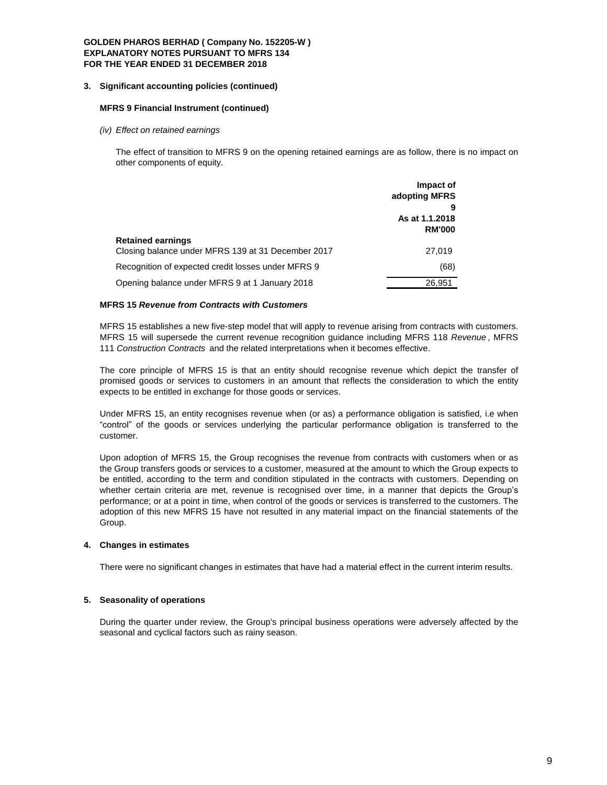## **3. Significant accounting policies (continued)**

#### **MFRS 9 Financial Instrument (continued)**

*(iv) Effect on retained earnings*

The effect of transition to MFRS 9 on the opening retained earnings are as follow, there is no impact on other components of equity.

|                                                                                | Impact of<br>adopting MFRS      |
|--------------------------------------------------------------------------------|---------------------------------|
|                                                                                | As at 1.1.2018<br><b>RM'000</b> |
| <b>Retained earnings</b><br>Closing balance under MFRS 139 at 31 December 2017 | 27,019                          |
| Recognition of expected credit losses under MFRS 9                             | (68)                            |
| Opening balance under MFRS 9 at 1 January 2018                                 | 26,951                          |

## **MFRS 15** *Revenue from Contracts with Customers*

MFRS 15 establishes a new five-step model that will apply to revenue arising from contracts with customers. MFRS 15 will supersede the current revenue recognition guidance including MFRS 118 *Revenue* , MFRS 111 *Construction Contracts* and the related interpretations when it becomes effective.

The core principle of MFRS 15 is that an entity should recognise revenue which depict the transfer of promised goods or services to customers in an amount that reflects the consideration to which the entity expects to be entitled in exchange for those goods or services.

Under MFRS 15, an entity recognises revenue when (or as) a performance obligation is satisfied, i.e when "control" of the goods or services underlying the particular performance obligation is transferred to the customer.

Upon adoption of MFRS 15, the Group recognises the revenue from contracts with customers when or as the Group transfers goods or services to a customer, measured at the amount to which the Group expects to be entitled, according to the term and condition stipulated in the contracts with customers. Depending on whether certain criteria are met, revenue is recognised over time, in a manner that depicts the Group's performance; or at a point in time, when control of the goods or services is transferred to the customers. The adoption of this new MFRS 15 have not resulted in any material impact on the financial statements of the Group.

## **4. Changes in estimates**

There were no significant changes in estimates that have had a material effect in the current interim results.

## **5. Seasonality of operations**

During the quarter under review, the Group's principal business operations were adversely affected by the seasonal and cyclical factors such as rainy season.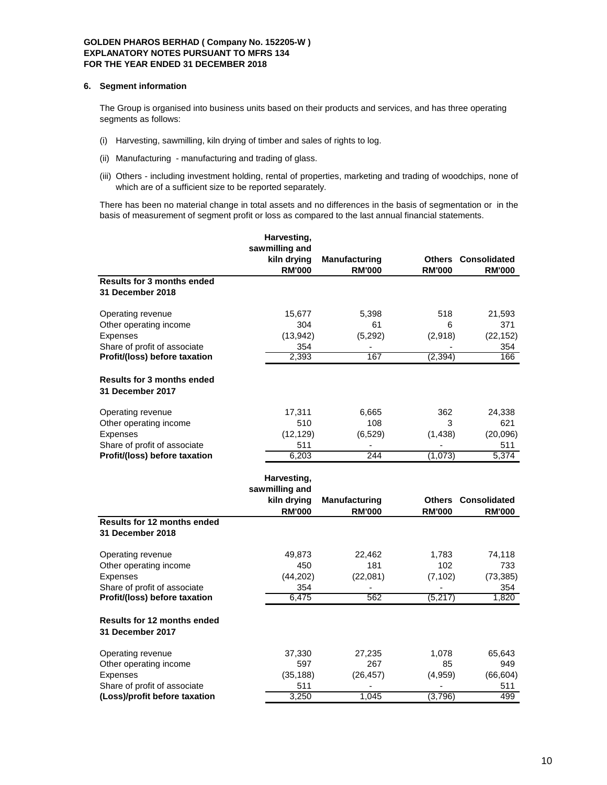#### **6. Segment information**

The Group is organised into business units based on their products and services, and has three operating segments as follows:

- (i) Harvesting, sawmilling, kiln drying of timber and sales of rights to log.
- (ii) Manufacturing manufacturing and trading of glass.
- (iii) Others including investment holding, rental of properties, marketing and trading of woodchips, none of which are of a sufficient size to be reported separately.

There has been no material change in total assets and no differences in the basis of segmentation or in the basis of measurement of segment profit or loss as compared to the last annual financial statements.

|                                                        | Harvesting,<br>sawmilling and<br>kiln drying<br><b>RM'000</b> | <b>Manufacturing</b><br><b>RM'000</b> | <b>Others</b><br><b>RM'000</b> | <b>Consolidated</b><br><b>RM'000</b> |
|--------------------------------------------------------|---------------------------------------------------------------|---------------------------------------|--------------------------------|--------------------------------------|
| <b>Results for 3 months ended</b>                      |                                                               |                                       |                                |                                      |
| 31 December 2018                                       |                                                               |                                       |                                |                                      |
| Operating revenue                                      | 15,677                                                        | 5,398                                 | 518                            | 21,593                               |
| Other operating income                                 | 304                                                           | 61                                    | 6                              | 371                                  |
| Expenses                                               | (13,942)                                                      | (5, 292)                              | (2,918)                        | (22, 152)                            |
| Share of profit of associate                           | 354                                                           |                                       |                                | 354                                  |
| Profit/(loss) before taxation                          | 2.393                                                         | 167                                   | (2, 394)                       | 166                                  |
| <b>Results for 3 months ended</b><br>31 December 2017  |                                                               |                                       |                                |                                      |
| Operating revenue                                      | 17,311                                                        | 6,665                                 | 362                            | 24,338                               |
| Other operating income                                 | 510                                                           | 108                                   | 3                              | 621                                  |
| Expenses                                               | (12, 129)                                                     | (6, 529)                              | (1, 438)                       | (20,096)                             |
| Share of profit of associate                           | 511                                                           |                                       |                                | 511                                  |
| Profit/(loss) before taxation                          | 6,203                                                         | 244                                   | (1,073)                        | 5,374                                |
|                                                        | Harvesting,                                                   |                                       |                                |                                      |
|                                                        | sawmilling and                                                |                                       |                                |                                      |
|                                                        | kiln drying                                                   | <b>Manufacturing</b>                  | <b>Others</b>                  | <b>Consolidated</b>                  |
|                                                        | <b>RM'000</b>                                                 | <b>RM'000</b>                         | <b>RM'000</b>                  | <b>RM'000</b>                        |
| <b>Results for 12 months ended</b><br>31 December 2018 |                                                               |                                       |                                |                                      |
| Operating revenue                                      | 49,873                                                        | 22,462                                | 1,783                          | 74,118                               |
| Other operating income                                 | 450                                                           | 181                                   | 102                            | 733                                  |
| Expenses                                               | (44, 202)                                                     | (22,081)                              | (7, 102)                       | (73, 385)                            |
| Share of profit of associate                           | 354                                                           |                                       |                                | 354                                  |
| Profit/(loss) before taxation                          | 6.475                                                         | 562                                   | (5, 217)                       | 1,820                                |
| <b>Results for 12 months ended</b><br>31 December 2017 |                                                               |                                       |                                |                                      |
| Operating revenue                                      | 37,330                                                        | 27,235                                | 1,078                          | 65,643                               |
| Other operating income                                 | 597                                                           | 267                                   | 85                             | 949                                  |
| Expenses                                               | (35, 188)                                                     | (26, 457)                             | (4,959)                        | (66, 604)                            |
| Share of profit of associate                           | 511                                                           | $\qquad \qquad \blacksquare$          | $\qquad \qquad \blacksquare$   | 511                                  |
| (Loss)/profit before taxation                          | 3.250                                                         | 1.045                                 | (3,796)                        | 499                                  |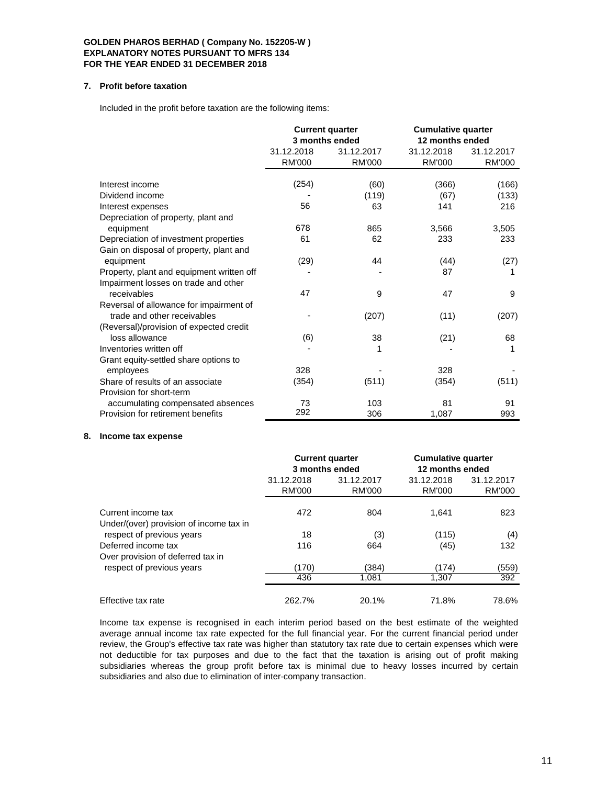## **7. Profit before taxation**

Included in the profit before taxation are the following items:

|                                           | <b>Current quarter</b><br>3 months ended |               | <b>Cumulative quarter</b><br>12 months ended |               |
|-------------------------------------------|------------------------------------------|---------------|----------------------------------------------|---------------|
|                                           | 31.12.2018                               | 31.12.2017    | 31.12.2018                                   | 31.12.2017    |
|                                           | <b>RM'000</b>                            | <b>RM'000</b> | <b>RM'000</b>                                | <b>RM'000</b> |
| Interest income                           |                                          |               |                                              |               |
|                                           | (254)                                    | (60)          | (366)                                        | (166)         |
| Dividend income                           |                                          | (119)         | (67)                                         | (133)         |
| Interest expenses                         | 56                                       | 63            | 141                                          | 216           |
| Depreciation of property, plant and       |                                          |               |                                              |               |
| equipment                                 | 678                                      | 865           | 3,566                                        | 3,505         |
| Depreciation of investment properties     | 61                                       | 62            | 233                                          | 233           |
| Gain on disposal of property, plant and   |                                          |               |                                              |               |
| equipment                                 | (29)                                     | 44            | (44)                                         | (27)          |
| Property, plant and equipment written off |                                          |               | 87                                           | 1             |
| Impairment losses on trade and other      |                                          |               |                                              |               |
| receivables                               | 47                                       | 9             | 47                                           | 9             |
| Reversal of allowance for impairment of   |                                          |               |                                              |               |
| trade and other receivables               |                                          | (207)         | (11)                                         | (207)         |
| (Reversal)/provision of expected credit   |                                          |               |                                              |               |
| loss allowance                            | (6)                                      | 38            | (21)                                         | 68            |
| Inventories written off                   |                                          |               |                                              |               |
| Grant equity-settled share options to     |                                          |               |                                              |               |
| employees                                 | 328                                      |               | 328                                          |               |
| Share of results of an associate          | (354)                                    | (511)         | (354)                                        | (511)         |
| Provision for short-term                  |                                          |               |                                              |               |
| accumulating compensated absences         | 73                                       | 103           | 81                                           | 91            |
| Provision for retirement benefits         | 292                                      | 306           | 1,087                                        | 993           |

#### **8. Income tax expense**

|                                                               | <b>Current quarter</b><br>3 months ended |                      | <b>Cumulative quarter</b><br>12 months ended |                      |
|---------------------------------------------------------------|------------------------------------------|----------------------|----------------------------------------------|----------------------|
|                                                               | 31.12.2018<br>RM'000                     | 31.12.2017<br>RM'000 | 31.12.2018<br>RM'000                         | 31.12.2017<br>RM'000 |
| Current income tax<br>Under/(over) provision of income tax in | 472                                      | 804                  | 1.641                                        | 823                  |
| respect of previous years                                     | 18                                       | (3)                  | (115)                                        | (4)                  |
| Deferred income tax<br>Over provision of deferred tax in      | 116                                      | 664                  | (45)                                         | 132                  |
| respect of previous years                                     | (170)                                    | (384)                | (174)                                        | (559)                |
|                                                               | 436                                      | 1,081                | 1,307                                        | 392                  |
| Effective tax rate                                            | 262.7%                                   | 20.1%                | 71.8%                                        | 78.6%                |

Income tax expense is recognised in each interim period based on the best estimate of the weighted average annual income tax rate expected for the full financial year. For the current financial period under review, the Group's effective tax rate was higher than statutory tax rate due to certain expenses which were not deductible for tax purposes and due to the fact that the taxation is arising out of profit making subsidiaries whereas the group profit before tax is minimal due to heavy losses incurred by certain subsidiaries and also due to elimination of inter-company transaction.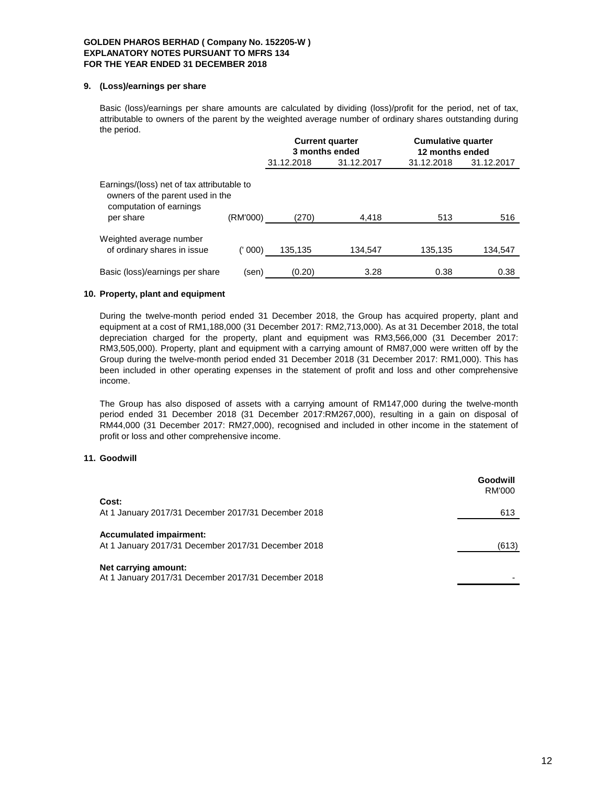## **9. (Loss)/earnings per share**

Basic (loss)/earnings per share amounts are calculated by dividing (loss)/profit for the period, net of tax, attributable to owners of the parent by the weighted average number of ordinary shares outstanding during the period.

|                                                                                                                                    |         |            | <b>Current quarter</b><br>3 months ended | <b>Cumulative quarter</b><br>12 months ended |            |  |
|------------------------------------------------------------------------------------------------------------------------------------|---------|------------|------------------------------------------|----------------------------------------------|------------|--|
|                                                                                                                                    |         | 31.12.2018 | 31.12.2017                               | 31.12.2018                                   | 31.12.2017 |  |
| Earnings/(loss) net of tax attributable to<br>owners of the parent used in the<br>computation of earnings<br>(RM'000)<br>per share |         | (270)      | 4,418                                    | 513                                          | 516        |  |
| Weighted average number<br>of ordinary shares in issue                                                                             | (' 000) | 135.135    | 134.547                                  | 135,135                                      | 134,547    |  |
| Basic (loss)/earnings per share                                                                                                    | (sen)   | (0.20)     | 3.28                                     | 0.38                                         | 0.38       |  |

# **10. Property, plant and equipment**

During the twelve-month period ended 31 December 2018, the Group has acquired property, plant and equipment at a cost of RM1,188,000 (31 December 2017: RM2,713,000). As at 31 December 2018, the total depreciation charged for the property, plant and equipment was RM3,566,000 (31 December 2017: RM3,505,000). Property, plant and equipment with a carrying amount of RM87,000 were written off by the Group during the twelve-month period ended 31 December 2018 (31 December 2017: RM1,000). This has been included in other operating expenses in the statement of profit and loss and other comprehensive income.

The Group has also disposed of assets with a carrying amount of RM147,000 during the twelve-month period ended 31 December 2018 (31 December 2017:RM267,000), resulting in a gain on disposal of RM44,000 (31 December 2017: RM27,000), recognised and included in other income in the statement of profit or loss and other comprehensive income.

## **11. Goodwill**

|                                                                                       | Goodwill<br><b>RM'000</b> |
|---------------------------------------------------------------------------------------|---------------------------|
| Cost:<br>At 1 January 2017/31 December 2017/31 December 2018                          | 613                       |
| <b>Accumulated impairment:</b><br>At 1 January 2017/31 December 2017/31 December 2018 | (613)                     |
| Net carrying amount:<br>At 1 January 2017/31 December 2017/31 December 2018           |                           |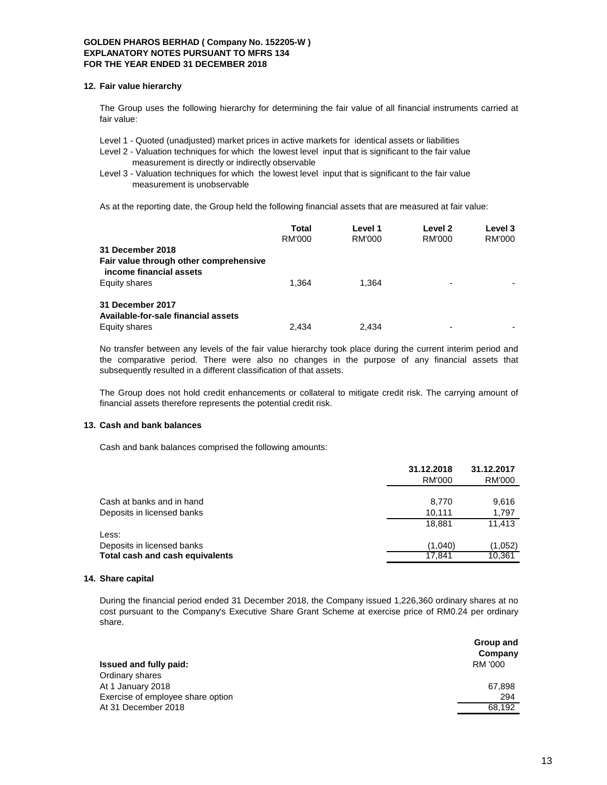#### **12. Fair value hierarchy**

The Group uses the following hierarchy for determining the fair value of all financial instruments carried at fair value:

Level 1 - Quoted (unadjusted) market prices in active markets for identical assets or liabilities

Level 2 - Valuation techniques for which the lowest level input that is significant to the fair value measurement is directly or indirectly observable

Level 3 - Valuation techniques for which the lowest level input that is significant to the fair value measurement is unobservable

As at the reporting date, the Group held the following financial assets that are measured at fair value:

|                                                                   | Total<br>RM'000 | Level 1<br>RM'000 | Level <sub>2</sub><br>RM'000 | Level 3<br>RM'000 |
|-------------------------------------------------------------------|-----------------|-------------------|------------------------------|-------------------|
| 31 December 2018                                                  |                 |                   |                              |                   |
| Fair value through other comprehensive<br>income financial assets |                 |                   |                              |                   |
| Equity shares                                                     | 1.364           | 1.364             | $\overline{\phantom{a}}$     |                   |
| 31 December 2017<br>Available-for-sale financial assets           |                 |                   |                              |                   |
| Equity shares                                                     | 2.434           | 2.434             | $\overline{\phantom{a}}$     |                   |

No transfer between any levels of the fair value hierarchy took place during the current interim period and the comparative period. There were also no changes in the purpose of any financial assets that subsequently resulted in a different classification of that assets.

The Group does not hold credit enhancements or collateral to mitigate credit risk. The carrying amount of financial assets therefore represents the potential credit risk.

## **13. Cash and bank balances**

Cash and bank balances comprised the following amounts:

|                                 | 31.12.2018<br>RM'000 | 31.12.2017<br>RM'000 |
|---------------------------------|----------------------|----------------------|
|                                 |                      |                      |
| Cash at banks and in hand       | 8,770                | 9,616                |
| Deposits in licensed banks      | 10.111               | 1,797                |
|                                 | 18.881               | 11.413               |
| Less:                           |                      |                      |
| Deposits in licensed banks      | (1.040)              | (1,052)              |
| Total cash and cash equivalents | 17.841               | 10,361               |
|                                 |                      |                      |

#### **14. Share capital**

During the financial period ended 31 December 2018, the Company issued 1,226,360 ordinary shares at no cost pursuant to the Company's Executive Share Grant Scheme at exercise price of RM0.24 per ordinary share.

|                                   | Group and<br>Company |
|-----------------------------------|----------------------|
| Issued and fully paid:            | RM '000              |
| Ordinary shares                   |                      |
| At 1 January 2018                 | 67,898               |
| Exercise of employee share option | 294                  |
| At 31 December 2018               | 68.192               |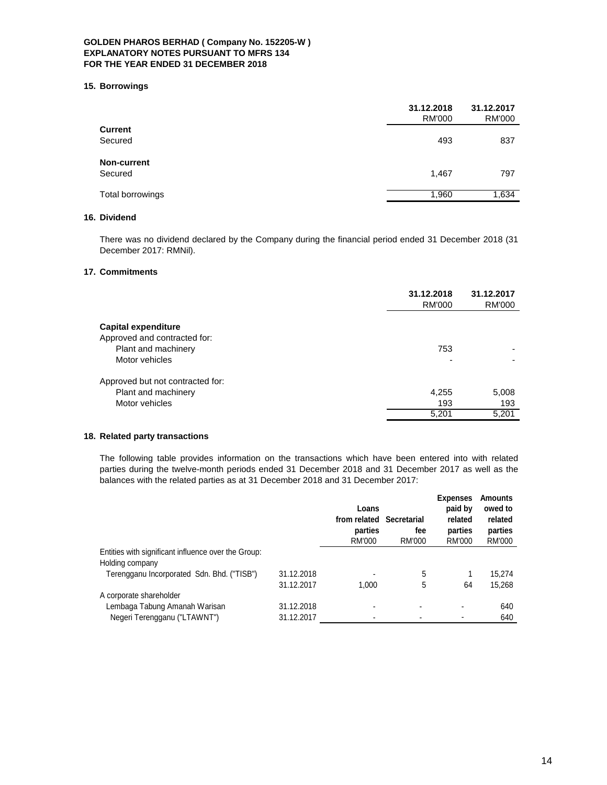#### **15. Borrowings**

|                    | 31.12.2018<br><b>RM'000</b> | 31.12.2017<br><b>RM'000</b> |
|--------------------|-----------------------------|-----------------------------|
| <b>Current</b>     |                             |                             |
| Secured            | 493                         | 837                         |
| <b>Non-current</b> |                             |                             |
| Secured            | 1,467                       | 797                         |
| Total borrowings   | 1,960                       | 1,634                       |
|                    |                             |                             |

# **16. Dividend**

There was no dividend declared by the Company during the financial period ended 31 December 2018 (31 December 2017: RMNil).

#### **17. Commitments**

|                                  | 31.12.2018<br>RM'000 | 31.12.2017<br>RM'000 |
|----------------------------------|----------------------|----------------------|
| <b>Capital expenditure</b>       |                      |                      |
| Approved and contracted for:     |                      |                      |
| Plant and machinery              | 753                  |                      |
| Motor vehicles                   |                      |                      |
| Approved but not contracted for: |                      |                      |
| Plant and machinery              | 4,255                | 5,008                |
| Motor vehicles                   | 193                  | 193                  |
|                                  | 5,201                | 5,201                |
|                                  |                      |                      |

# **18. Related party transactions**

The following table provides information on the transactions which have been entered into with related parties during the twelve-month periods ended 31 December 2018 and 31 December 2017 as well as the balances with the related parties as at 31 December 2018 and 31 December 2017:

|                                                     |            | Loans<br>from related<br>parties<br>RM'000 | <b>Secretarial</b><br>fee<br><b>RM'000</b> | <b>Expenses</b><br>paid by<br>related<br>parties<br>RM'000 | <b>Amounts</b><br>owed to<br>related<br>parties<br>RM'000 |
|-----------------------------------------------------|------------|--------------------------------------------|--------------------------------------------|------------------------------------------------------------|-----------------------------------------------------------|
| Entities with significant influence over the Group: |            |                                            |                                            |                                                            |                                                           |
| Holding company                                     |            |                                            |                                            |                                                            |                                                           |
| Terengganu Incorporated Sdn. Bhd. ("TISB")          | 31.12.2018 | ۰                                          | 5                                          |                                                            | 15.274                                                    |
|                                                     | 31.12.2017 | 1.000                                      | 5                                          | 64                                                         | 15.268                                                    |
| A corporate shareholder                             |            |                                            |                                            |                                                            |                                                           |
| Lembaga Tabung Amanah Warisan                       | 31.12.2018 | ۰                                          |                                            | ۰                                                          | 640                                                       |
| Negeri Terengganu ("LTAWNT")                        | 31.12.2017 |                                            |                                            |                                                            | 640                                                       |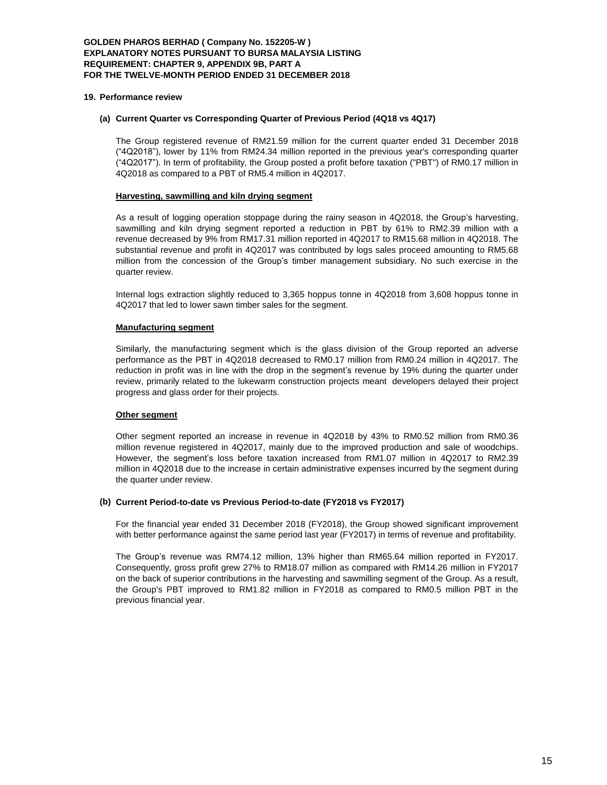#### **19. Performance review**

#### **(a) Current Quarter vs Corresponding Quarter of Previous Period (4Q18 vs 4Q17)**

The Group registered revenue of RM21.59 million for the current quarter ended 31 December 2018 ("4Q2018"), lower by 11% from RM24.34 million reported in the previous year's corresponding quarter ("4Q2017"). In term of profitability, the Group posted a profit before taxation ("PBT") of RM0.17 million in 4Q2018 as compared to a PBT of RM5.4 million in 4Q2017.

#### **Harvesting, sawmilling and kiln drying segment**

As a result of logging operation stoppage during the rainy season in 4Q2018, the Group's harvesting, sawmilling and kiln drying segment reported a reduction in PBT by 61% to RM2.39 million with a revenue decreased by 9% from RM17.31 million reported in 4Q2017 to RM15.68 million in 4Q2018. The substantial revenue and profit in 4Q2017 was contributed by logs sales proceed amounting to RM5.68 million from the concession of the Group's timber management subsidiary. No such exercise in the quarter review.

Internal logs extraction slightly reduced to 3,365 hoppus tonne in 4Q2018 from 3,608 hoppus tonne in 4Q2017 that led to lower sawn timber sales for the segment.

#### **Manufacturing segment**

Similarly, the manufacturing segment which is the glass division of the Group reported an adverse performance as the PBT in 4Q2018 decreased to RM0.17 million from RM0.24 million in 4Q2017. The reduction in profit was in line with the drop in the segment's revenue by 19% during the quarter under review, primarily related to the lukewarm construction projects meant developers delayed their project progress and glass order for their projects.

## **Other segment**

Other segment reported an increase in revenue in 4Q2018 by 43% to RM0.52 million from RM0.36 million revenue registered in 4Q2017, mainly due to the improved production and sale of woodchips. However, the segment's loss before taxation increased from RM1.07 million in 4Q2017 to RM2.39 million in 4Q2018 due to the increase in certain administrative expenses incurred by the segment during the quarter under review.

## **(b) Current Period-to-date vs Previous Period-to-date (FY2018 vs FY2017)**

For the financial year ended 31 December 2018 (FY2018), the Group showed significant improvement with better performance against the same period last year (FY2017) in terms of revenue and profitability.

The Group's revenue was RM74.12 million, 13% higher than RM65.64 million reported in FY2017. Consequently, gross profit grew 27% to RM18.07 million as compared with RM14.26 million in FY2017 on the back of superior contributions in the harvesting and sawmilling segment of the Group. As a result, the Group's PBT improved to RM1.82 million in FY2018 as compared to RM0.5 million PBT in the previous financial year.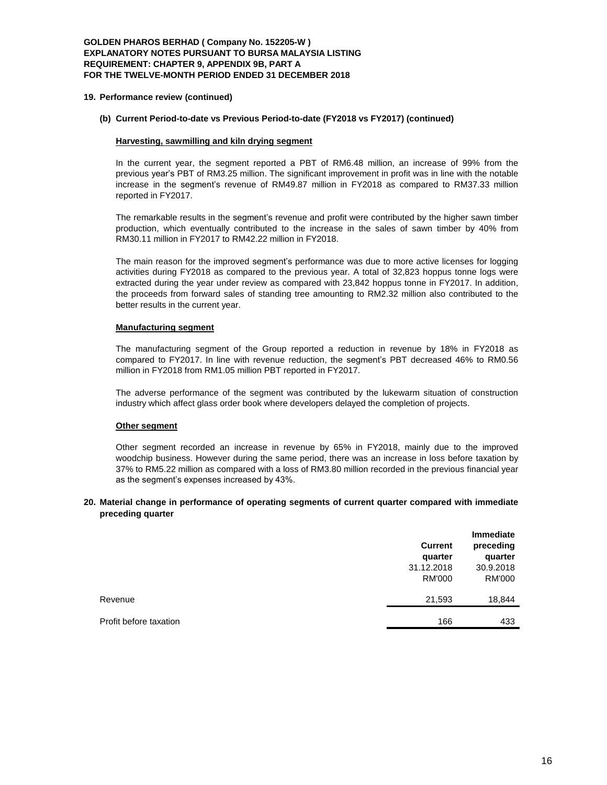#### **19. Performance review (continued)**

## **(b) Current Period-to-date vs Previous Period-to-date (FY2018 vs FY2017) (continued)**

## **Harvesting, sawmilling and kiln drying segment**

In the current year, the segment reported a PBT of RM6.48 million, an increase of 99% from the previous year's PBT of RM3.25 million. The significant improvement in profit was in line with the notable increase in the segment's revenue of RM49.87 million in FY2018 as compared to RM37.33 million reported in FY2017.

The remarkable results in the segment's revenue and profit were contributed by the higher sawn timber production, which eventually contributed to the increase in the sales of sawn timber by 40% from RM30.11 million in FY2017 to RM42.22 million in FY2018.

The main reason for the improved segment's performance was due to more active licenses for logging activities during FY2018 as compared to the previous year. A total of 32,823 hoppus tonne logs were extracted during the year under review as compared with 23,842 hoppus tonne in FY2017. In addition, the proceeds from forward sales of standing tree amounting to RM2.32 million also contributed to the better results in the current year.

#### **Manufacturing segment**

The manufacturing segment of the Group reported a reduction in revenue by 18% in FY2018 as compared to FY2017. In line with revenue reduction, the segment's PBT decreased 46% to RM0.56 million in FY2018 from RM1.05 million PBT reported in FY2017.

The adverse performance of the segment was contributed by the lukewarm situation of construction industry which affect glass order book where developers delayed the completion of projects.

## **Other segment**

Other segment recorded an increase in revenue by 65% in FY2018, mainly due to the improved woodchip business. However during the same period, there was an increase in loss before taxation by 37% to RM5.22 million as compared with a loss of RM3.80 million recorded in the previous financial year as the segment's expenses increased by 43%.

#### **20. Material change in performance of operating segments of current quarter compared with immediate preceding quarter**

|                        | <b>Current</b><br>quarter<br>31.12.2018<br><b>RM'000</b> | <b>Immediate</b><br>preceding<br>quarter<br>30.9.2018<br><b>RM'000</b> |
|------------------------|----------------------------------------------------------|------------------------------------------------------------------------|
| Revenue                | 21,593                                                   | 18,844                                                                 |
| Profit before taxation | 166                                                      | 433                                                                    |
|                        |                                                          |                                                                        |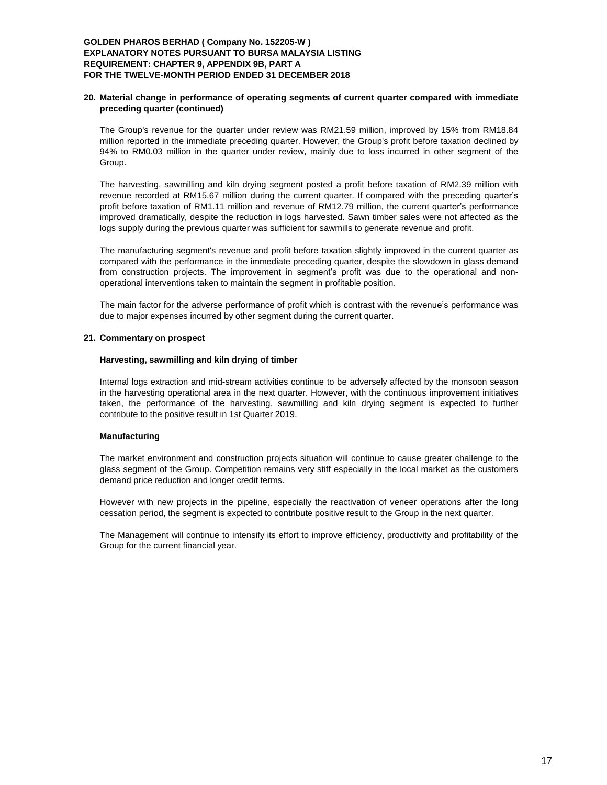## **20. Material change in performance of operating segments of current quarter compared with immediate preceding quarter (continued)**

The Group's revenue for the quarter under review was RM21.59 million, improved by 15% from RM18.84 million reported in the immediate preceding quarter. However, the Group's profit before taxation declined by 94% to RM0.03 million in the quarter under review, mainly due to loss incurred in other segment of the Group.

The harvesting, sawmilling and kiln drying segment posted a profit before taxation of RM2.39 million with revenue recorded at RM15.67 million during the current quarter. If compared with the preceding quarter's profit before taxation of RM1.11 million and revenue of RM12.79 million, the current quarter's performance improved dramatically, despite the reduction in logs harvested. Sawn timber sales were not affected as the logs supply during the previous quarter was sufficient for sawmills to generate revenue and profit.

The manufacturing segment's revenue and profit before taxation slightly improved in the current quarter as compared with the performance in the immediate preceding quarter, despite the slowdown in glass demand from construction projects. The improvement in segment's profit was due to the operational and nonoperational interventions taken to maintain the segment in profitable position.

The main factor for the adverse performance of profit which is contrast with the revenue's performance was due to major expenses incurred by other segment during the current quarter.

#### **21. Commentary on prospect**

#### **Harvesting, sawmilling and kiln drying of timber**

Internal logs extraction and mid-stream activities continue to be adversely affected by the monsoon season in the harvesting operational area in the next quarter. However, with the continuous improvement initiatives taken, the performance of the harvesting, sawmilling and kiln drying segment is expected to further contribute to the positive result in 1st Quarter 2019.

## **Manufacturing**

The market environment and construction projects situation will continue to cause greater challenge to the glass segment of the Group. Competition remains very stiff especially in the local market as the customers demand price reduction and longer credit terms.

However with new projects in the pipeline, especially the reactivation of veneer operations after the long cessation period, the segment is expected to contribute positive result to the Group in the next quarter.

The Management will continue to intensify its effort to improve efficiency, productivity and profitability of the Group for the current financial year.